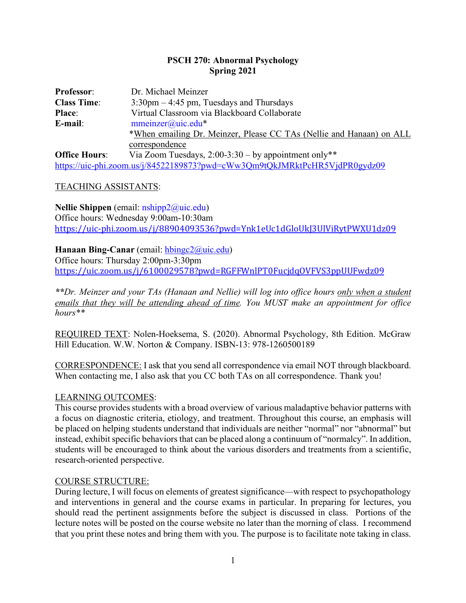## **PSCH 270: Abnormal Psychology Spring 2021**

| <b>Professor:</b>    | Dr. Michael Meinzer                                                        |  |  |
|----------------------|----------------------------------------------------------------------------|--|--|
| <b>Class Time:</b>   | $3:30 \text{pm} - 4:45 \text{pm}$ , Tuesdays and Thursdays                 |  |  |
| <b>Place:</b>        | Virtual Classroom via Blackboard Collaborate                               |  |  |
| E-mail:              | $mmeinzer@uic.edu*$                                                        |  |  |
|                      | *When emailing Dr. Meinzer, Please CC TAs (Nellie and Hanaan) on ALL       |  |  |
|                      | correspondence                                                             |  |  |
| <b>Office Hours:</b> | Via Zoom Tuesdays, $2:00-3:30 - by$ appointment only**                     |  |  |
|                      | https://uic-phi.zoom.us/j/84522189873?pwd=cWw3Qm9tQkJMRktPcHR5VjdPR0gydz09 |  |  |

### TEACHING ASSISTANTS:

**Nellie Shippen** (email: nshipp2@uic.edu) Office hours: Wednesday 9:00am-10:30am https://uic-phi.zoom.us/j/88904093536?pwd=Ynk1eUc1dGloUkJ3UlViRytPWXU1dz09

### **Hanaan Bing-Canar** (email: hbingc2@uic.edu)

Office hours: Thursday 2:00pm-3:30pm https://uic.zoom.us/j/6100029578?pwd=RGFFWnlPT0FucjdqOVFVS3ppUUFwdz09

*\*\*Dr. Meinzer and your TAs (Hanaan and Nellie) will log into office hours only when a student emails that they will be attending ahead of time. You MUST make an appointment for office hours\*\**

REQUIRED TEXT: Nolen-Hoeksema, S. (2020). Abnormal Psychology, 8th Edition. McGraw Hill Education. W.W. Norton & Company. ISBN-13: 978-1260500189

CORRESPONDENCE: I ask that you send all correspondence via email NOT through blackboard. When contacting me, I also ask that you CC both TAs on all correspondence. Thank you!

### LEARNING OUTCOMES:

This course provides students with a broad overview of various maladaptive behavior patterns with a focus on diagnostic criteria, etiology, and treatment. Throughout this course, an emphasis will be placed on helping students understand that individuals are neither "normal" nor "abnormal" but instead, exhibit specific behaviors that can be placed along a continuum of "normalcy". In addition, students will be encouraged to think about the various disorders and treatments from a scientific, research-oriented perspective.

### COURSE STRUCTURE:

During lecture, I will focus on elements of greatest significance—with respect to psychopathology and interventions in general and the course exams in particular. In preparing for lectures, you should read the pertinent assignments before the subject is discussed in class. Portions of the lecture notes will be posted on the course website no later than the morning of class. I recommend that you print these notes and bring them with you. The purpose is to facilitate note taking in class.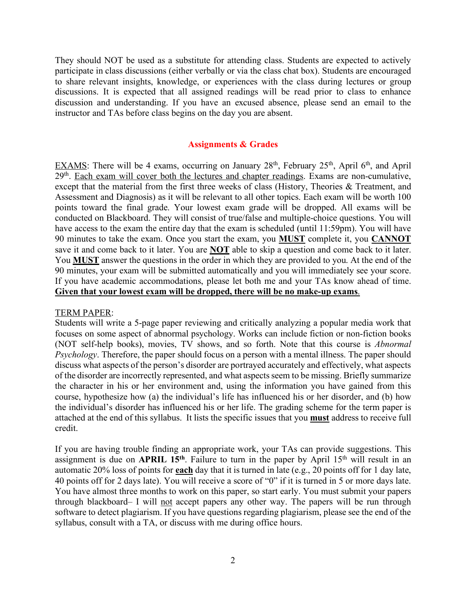They should NOT be used as a substitute for attending class. Students are expected to actively participate in class discussions (either verbally or via the class chat box). Students are encouraged to share relevant insights, knowledge, or experiences with the class during lectures or group discussions. It is expected that all assigned readings will be read prior to class to enhance discussion and understanding. If you have an excused absence, please send an email to the instructor and TAs before class begins on the day you are absent.

#### **Assignments & Grades**

EXAMS: There will be 4 exams, occurring on January  $28<sup>th</sup>$ , February  $25<sup>th</sup>$ , April 6<sup>th</sup>, and April 29<sup>th</sup>. Each exam will cover both the lectures and chapter readings. Exams are non-cumulative, except that the material from the first three weeks of class (History, Theories & Treatment, and Assessment and Diagnosis) as it will be relevant to all other topics. Each exam will be worth 100 points toward the final grade. Your lowest exam grade will be dropped. All exams will be conducted on Blackboard. They will consist of true/false and multiple-choice questions. You will have access to the exam the entire day that the exam is scheduled (until 11:59pm). You will have 90 minutes to take the exam. Once you start the exam, you **MUST** complete it, you **CANNOT** save it and come back to it later. You are **NOT** able to skip a question and come back to it later. You **MUST** answer the questions in the order in which they are provided to you. At the end of the 90 minutes, your exam will be submitted automatically and you will immediately see your score. If you have academic accommodations, please let both me and your TAs know ahead of time. **Given that your lowest exam will be dropped, there will be no make-up exams**.

#### TERM PAPER:

Students will write a 5-page paper reviewing and critically analyzing a popular media work that focuses on some aspect of abnormal psychology. Works can include fiction or non-fiction books (NOT self-help books), movies, TV shows, and so forth. Note that this course is *Abnormal Psychology*. Therefore, the paper should focus on a person with a mental illness. The paper should discuss what aspects of the person's disorder are portrayed accurately and effectively, what aspects of the disorder are incorrectly represented, and what aspects seem to be missing. Briefly summarize the character in his or her environment and, using the information you have gained from this course, hypothesize how (a) the individual's life has influenced his or her disorder, and (b) how the individual's disorder has influenced his or her life. The grading scheme for the term paper is attached at the end of this syllabus. It lists the specific issues that you **must** address to receive full credit.

If you are having trouble finding an appropriate work, your TAs can provide suggestions. This assignment is due on **APRIL 15th**. Failure to turn in the paper by April 15th will result in an automatic 20% loss of points for **each** day that it is turned in late (e.g., 20 points off for 1 day late, 40 points off for 2 days late). You will receive a score of "0" if it is turned in 5 or more days late. You have almost three months to work on this paper, so start early. You must submit your papers through blackboard– I will not accept papers any other way. The papers will be run through software to detect plagiarism. If you have questions regarding plagiarism, please see the end of the syllabus, consult with a TA, or discuss with me during office hours.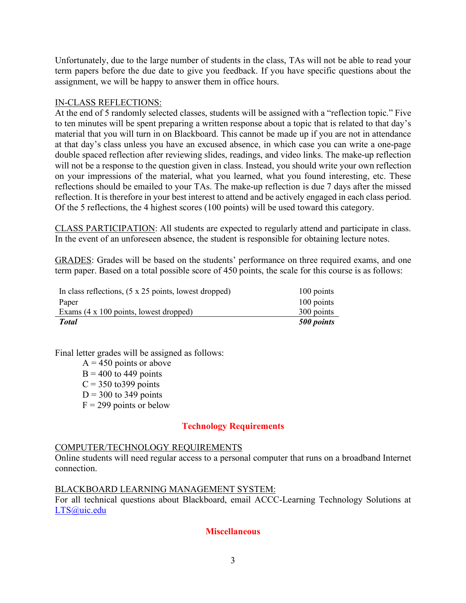Unfortunately, due to the large number of students in the class, TAs will not be able to read your term papers before the due date to give you feedback. If you have specific questions about the assignment, we will be happy to answer them in office hours.

### IN-CLASS REFLECTIONS:

At the end of 5 randomly selected classes, students will be assigned with a "reflection topic." Five to ten minutes will be spent preparing a written response about a topic that is related to that day's material that you will turn in on Blackboard. This cannot be made up if you are not in attendance at that day's class unless you have an excused absence, in which case you can write a one-page double spaced reflection after reviewing slides, readings, and video links. The make-up reflection will not be a response to the question given in class. Instead, you should write your own reflection on your impressions of the material, what you learned, what you found interesting, etc. These reflections should be emailed to your TAs. The make-up reflection is due 7 days after the missed reflection. It is therefore in your best interest to attend and be actively engaged in each class period. Of the 5 reflections, the 4 highest scores (100 points) will be used toward this category.

CLASS PARTICIPATION: All students are expected to regularly attend and participate in class. In the event of an unforeseen absence, the student is responsible for obtaining lecture notes.

GRADES: Grades will be based on the students' performance on three required exams, and one term paper. Based on a total possible score of 450 points, the scale for this course is as follows:

| In class reflections, $(5 \times 25)$ points, lowest dropped) | 100 points |
|---------------------------------------------------------------|------------|
| Paper                                                         | 100 points |
| Exams (4 x 100 points, lowest dropped)                        | 300 points |
| <b>Total</b>                                                  | 500 points |

Final letter grades will be assigned as follows:

 $A = 450$  points or above  $B = 400$  to 449 points  $C = 350$  to 399 points  $D = 300$  to 349 points  $F = 299$  points or below

# **Technology Requirements**

### COMPUTER/TECHNOLOGY REQUIREMENTS

Online students will need regular access to a personal computer that runs on a broadband Internet connection.

### BLACKBOARD LEARNING MANAGEMENT SYSTEM:

For all technical questions about Blackboard, email ACCC-Learning Technology Solutions at LTS@uic.edu

# **Miscellaneous**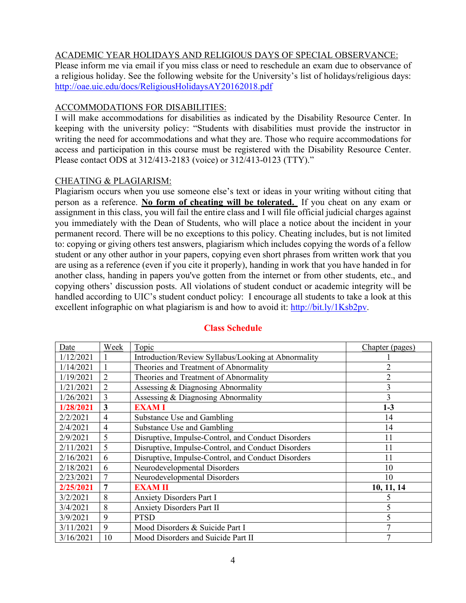## ACADEMIC YEAR HOLIDAYS AND RELIGIOUS DAYS OF SPECIAL OBSERVANCE:

Please inform me via email if you miss class or need to reschedule an exam due to observance of a religious holiday. See the following website for the University's list of holidays/religious days: http://oae.uic.edu/docs/ReligiousHolidaysAY20162018.pdf

## ACCOMMODATIONS FOR DISABILITIES:

I will make accommodations for disabilities as indicated by the Disability Resource Center. In keeping with the university policy: "Students with disabilities must provide the instructor in writing the need for accommodations and what they are. Those who require accommodations for access and participation in this course must be registered with the Disability Resource Center. Please contact ODS at 312/413-2183 (voice) or 312/413-0123 (TTY)."

### CHEATING & PLAGIARISM:

Plagiarism occurs when you use someone else's text or ideas in your writing without citing that person as a reference. **No form of cheating will be tolerated.** If you cheat on any exam or assignment in this class, you will fail the entire class and I will file official judicial charges against you immediately with the Dean of Students, who will place a notice about the incident in your permanent record. There will be no exceptions to this policy. Cheating includes, but is not limited to: copying or giving others test answers, plagiarism which includes copying the words of a fellow student or any other author in your papers, copying even short phrases from written work that you are using as a reference (even if you cite it properly), handing in work that you have handed in for another class, handing in papers you've gotten from the internet or from other students, etc., and copying others' discussion posts. All violations of student conduct or academic integrity will be handled according to UIC's student conduct policy: I encourage all students to take a look at this excellent infographic on what plagiarism is and how to avoid it: http://bit.ly/1Ksb2pv.

| Date      | Week           | <b>Topic</b>                                        | Chapter (pages) |
|-----------|----------------|-----------------------------------------------------|-----------------|
| 1/12/2021 |                | Introduction/Review Syllabus/Looking at Abnormality |                 |
| 1/14/2021 |                | Theories and Treatment of Abnormality               | 2               |
| 1/19/2021 | $\overline{2}$ | Theories and Treatment of Abnormality               | $\overline{2}$  |
| 1/21/2021 | 2              | Assessing & Diagnosing Abnormality                  | 3               |
| 1/26/2021 | 3              | Assessing & Diagnosing Abnormality                  | 3               |
| 1/28/2021 | 3              | <b>EXAMI</b>                                        | $1-3$           |
| 2/2/2021  | $\overline{4}$ | Substance Use and Gambling                          | 14              |
| 2/4/2021  | 4              | Substance Use and Gambling                          | 14              |
| 2/9/2021  | 5              | Disruptive, Impulse-Control, and Conduct Disorders  | 11              |
| 2/11/2021 | 5              | Disruptive, Impulse-Control, and Conduct Disorders  | 11              |
| 2/16/2021 | 6              | Disruptive, Impulse-Control, and Conduct Disorders  | 11              |
| 2/18/2021 | 6              | Neurodevelopmental Disorders                        | 10              |
| 2/23/2021 | 7              | Neurodevelopmental Disorders                        | 10              |
| 2/25/2021 | 7              | <b>EXAM II</b>                                      | 10, 11, 14      |
| 3/2/2021  | 8              | <b>Anxiety Disorders Part I</b>                     | 5               |
| 3/4/2021  | 8              | <b>Anxiety Disorders Part II</b>                    | 5               |
| 3/9/2021  | 9              | <b>PTSD</b>                                         | 5               |
| 3/11/2021 | 9              | Mood Disorders & Suicide Part I                     | 7               |
| 3/16/2021 | 10             | Mood Disorders and Suicide Part II                  | 7               |

# **Class Schedule**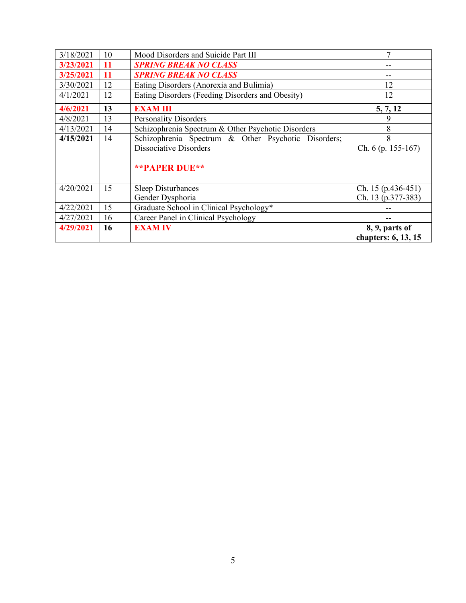| 4/29/2021 | <b>16</b> | <b>EXAM IV</b>                                      | 8, 9, parts of<br>chapters: 6, 13, 15 |
|-----------|-----------|-----------------------------------------------------|---------------------------------------|
| 4/27/2021 | 16        | Career Panel in Clinical Psychology                 |                                       |
| 4/22/2021 | 15        | Graduate School in Clinical Psychology*             |                                       |
|           |           | Gender Dysphoria                                    | Ch. 13 (p.377-383)                    |
| 4/20/2021 | 15        | <b>Sleep Disturbances</b>                           | Ch. $15$ (p. 436-451)                 |
|           |           | <b>**PAPER DUE**</b>                                |                                       |
|           |           | <b>Dissociative Disorders</b>                       | Ch. $6$ (p. 155-167)                  |
| 4/15/2021 | 14        | Schizophrenia Spectrum & Other Psychotic Disorders; | 8                                     |
| 4/13/2021 | 14        | Schizophrenia Spectrum & Other Psychotic Disorders  | 8                                     |
| 4/8/2021  | 13        | <b>Personality Disorders</b>                        | 9                                     |
| 4/6/2021  | 13        | <b>EXAM III</b>                                     | 5, 7, 12                              |
| 4/1/2021  | 12        | Eating Disorders (Feeding Disorders and Obesity)    | 12                                    |
| 3/30/2021 | 12        | Eating Disorders (Anorexia and Bulimia)             | 12                                    |
| 3/25/2021 | <b>11</b> | <b>SPRING BREAK NO CLASS</b>                        | --                                    |
| 3/23/2021 | <b>11</b> | <b>SPRING BREAK NO CLASS</b>                        |                                       |
| 3/18/2021 | 10        | Mood Disorders and Suicide Part III                 | 7                                     |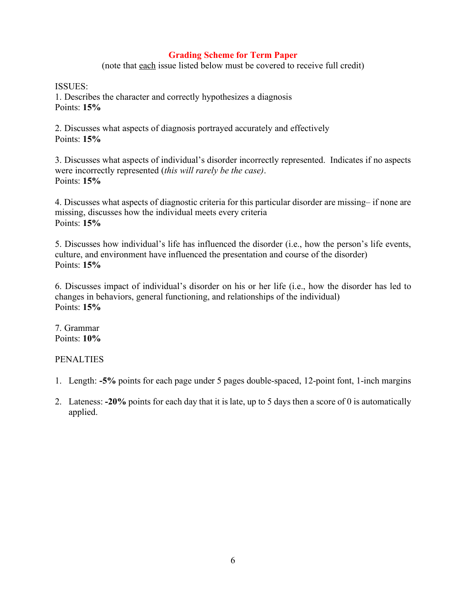# **Grading Scheme for Term Paper**

(note that each issue listed below must be covered to receive full credit)

ISSUES:

1. Describes the character and correctly hypothesizes a diagnosis Points: **15%**

2. Discusses what aspects of diagnosis portrayed accurately and effectively Points: **15%**

3. Discusses what aspects of individual's disorder incorrectly represented. Indicates if no aspects were incorrectly represented (*this will rarely be the case)*. Points: **15%**

4. Discusses what aspects of diagnostic criteria for this particular disorder are missing– if none are missing, discusses how the individual meets every criteria Points: **15%**

5. Discusses how individual's life has influenced the disorder (i.e., how the person's life events, culture, and environment have influenced the presentation and course of the disorder) Points: **15%**

6. Discusses impact of individual's disorder on his or her life (i.e., how the disorder has led to changes in behaviors, general functioning, and relationships of the individual) Points: **15%**

7. Grammar Points: **10%**

# **PENALTIES**

- 1. Length: **-5%** points for each page under 5 pages double-spaced, 12-point font, 1-inch margins
- 2. Lateness: **-20%** points for each day that it is late, up to 5 days then a score of 0 is automatically applied.